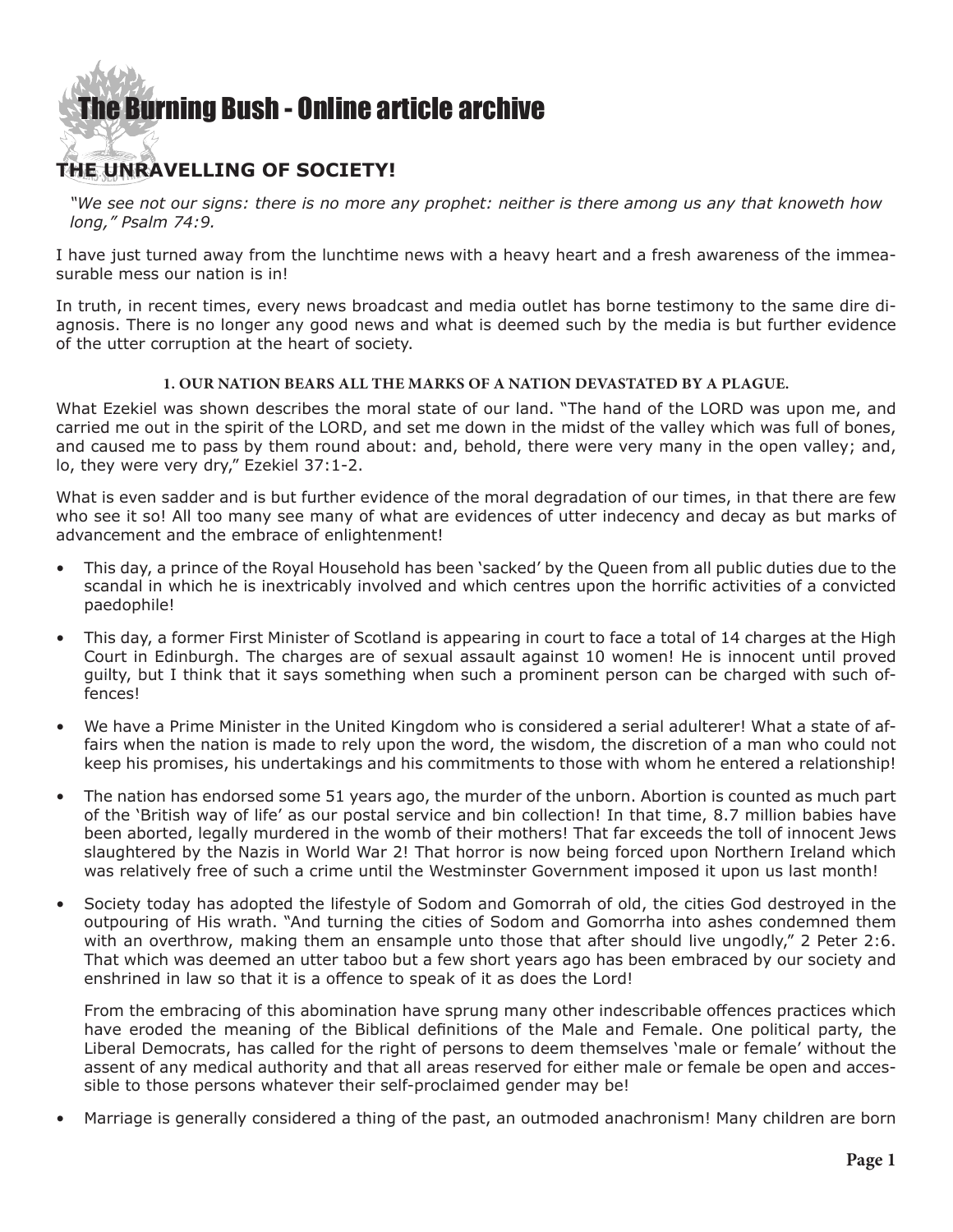## [The Burning Bush - Online article archive](http://www.ivanfoster.net)

### **THE UNRAVELLING OF SOCIETY!**

*"We see not our signs: there is no more any prophet: neither is there among us any that knoweth how long," Psalm 74:9.*

I have just turned away from the lunchtime news with a heavy heart and a fresh awareness of the immeasurable mess our nation is in!

In truth, in recent times, every news broadcast and media outlet has borne testimony to the same dire diagnosis. There is no longer any good news and what is deemed such by the media is but further evidence of the utter corruption at the heart of society.

#### **1. OUR NATION BEARS ALL THE MARKS OF A NATION DEVASTATED BY A PLAGUE.**

What Ezekiel was shown describes the moral state of our land. "The hand of the LORD was upon me, and carried me out in the spirit of the LORD, and set me down in the midst of the valley which was full of bones, and caused me to pass by them round about: and, behold, there were very many in the open valley; and, lo, they were very dry," Ezekiel 37:1-2.

What is even sadder and is but further evidence of the moral degradation of our times, in that there are few who see it so! All too many see many of what are evidences of utter indecency and decay as but marks of advancement and the embrace of enlightenment!

- This day, a prince of the Royal Household has been 'sacked' by the Queen from all public duties due to the scandal in which he is inextricably involved and which centres upon the horrific activities of a convicted paedophile!
- This day, a former First Minister of Scotland is appearing in court to face a total of 14 charges at the High Court in Edinburgh. The charges are of sexual assault against 10 women! He is innocent until proved guilty, but I think that it says something when such a prominent person can be charged with such offences!
- • We have a Prime Minister in the United Kingdom who is considered a serial adulterer! What a state of affairs when the nation is made to rely upon the word, the wisdom, the discretion of a man who could not keep his promises, his undertakings and his commitments to those with whom he entered a relationship!
- The nation has endorsed some 51 years ago, the murder of the unborn. Abortion is counted as much part of the 'British way of life' as our postal service and bin collection! In that time, 8.7 million babies have been aborted, legally murdered in the womb of their mothers! That far exceeds the toll of innocent Jews slaughtered by the Nazis in World War 2! That horror is now being forced upon Northern Ireland which was relatively free of such a crime until the Westminster Government imposed it upon us last month!
- Society today has adopted the lifestyle of Sodom and Gomorrah of old, the cities God destroyed in the outpouring of His wrath. "And turning the cities of Sodom and Gomorrha into ashes condemned them with an overthrow, making them an ensample unto those that after should live ungodly," 2 Peter 2:6. That which was deemed an utter taboo but a few short years ago has been embraced by our society and enshrined in law so that it is a offence to speak of it as does the Lord!

From the embracing of this abomination have sprung many other indescribable offences practices which have eroded the meaning of the Biblical definitions of the Male and Female. One political party, the Liberal Democrats, has called for the right of persons to deem themselves 'male or female' without the assent of any medical authority and that all areas reserved for either male or female be open and accessible to those persons whatever their self-proclaimed gender may be!

Marriage is generally considered a thing of the past, an outmoded anachronism! Many children are born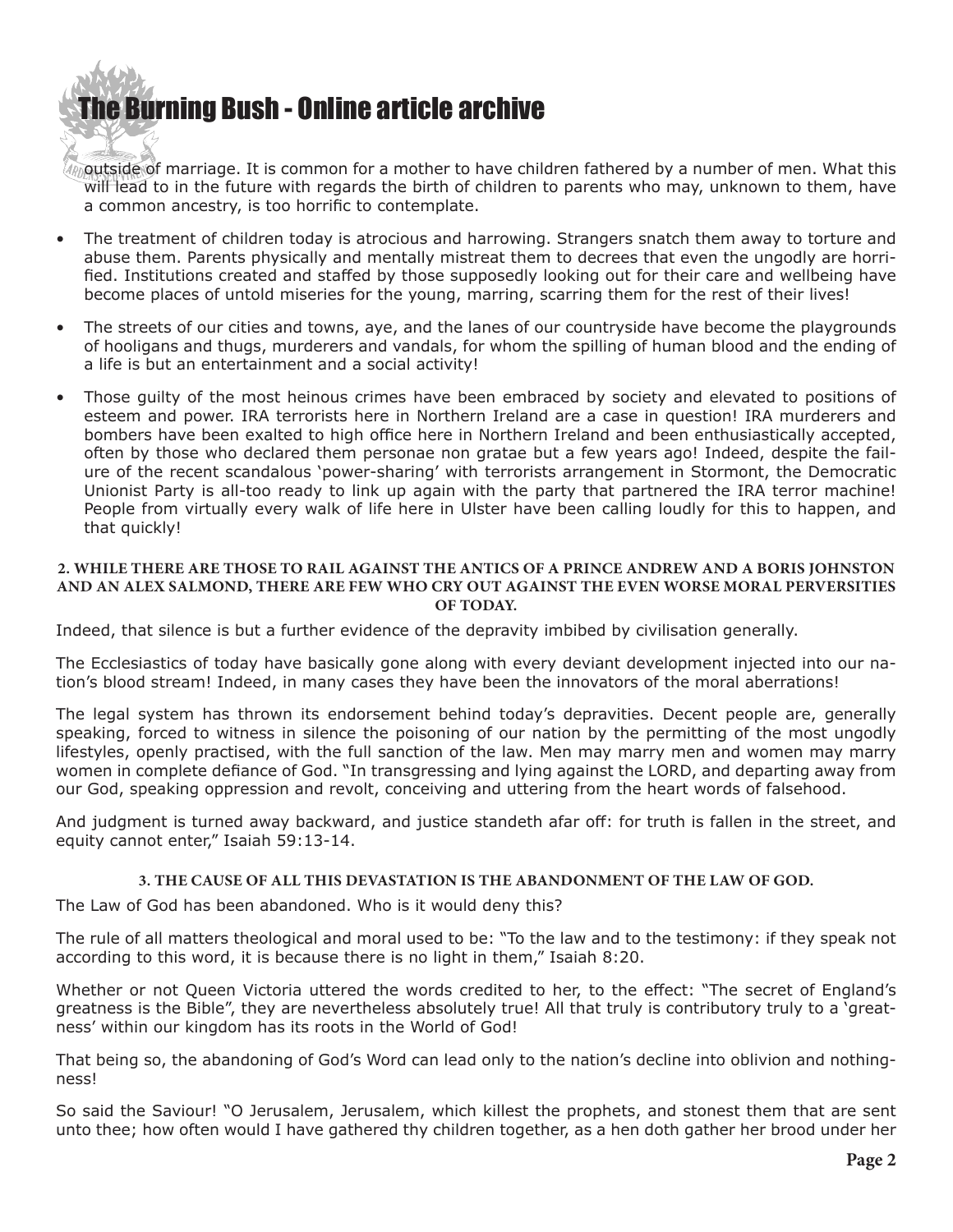## [The Bur](http://www.ivanfoster.net)ning Bush - Online article archive

 $\ell$  outside of marriage. It is common for a mother to have children fathered by a number of men. What this will lead to in the future with regards the birth of children to parents who may, unknown to them, have a common ancestry, is too horrific to contemplate.

- The treatment of children today is atrocious and harrowing. Strangers snatch them away to torture and abuse them. Parents physically and mentally mistreat them to decrees that even the ungodly are horrified. Institutions created and staffed by those supposedly looking out for their care and wellbeing have become places of untold miseries for the young, marring, scarring them for the rest of their lives!
- The streets of our cities and towns, aye, and the lanes of our countryside have become the playgrounds of hooligans and thugs, murderers and vandals, for whom the spilling of human blood and the ending of a life is but an entertainment and a social activity!
- Those quilty of the most heinous crimes have been embraced by society and elevated to positions of esteem and power. IRA terrorists here in Northern Ireland are a case in question! IRA murderers and bombers have been exalted to high office here in Northern Ireland and been enthusiastically accepted, often by those who declared them personae non gratae but a few years ago! Indeed, despite the failure of the recent scandalous 'power-sharing' with terrorists arrangement in Stormont, the Democratic Unionist Party is all-too ready to link up again with the party that partnered the IRA terror machine! People from virtually every walk of life here in Ulster have been calling loudly for this to happen, and that quickly!

#### **2. WHILE THERE ARE THOSE TO RAIL AGAINST THE ANTICS OF A PRINCE ANDREW AND A BORIS JOHNSTON AND AN ALEX SALMOND, THERE ARE FEW WHO CRY OUT AGAINST THE EVEN WORSE MORAL PERVERSITIES OF TODAY.**

Indeed, that silence is but a further evidence of the depravity imbibed by civilisation generally.

The Ecclesiastics of today have basically gone along with every deviant development injected into our nation's blood stream! Indeed, in many cases they have been the innovators of the moral aberrations!

The legal system has thrown its endorsement behind today's depravities. Decent people are, generally speaking, forced to witness in silence the poisoning of our nation by the permitting of the most ungodly lifestyles, openly practised, with the full sanction of the law. Men may marry men and women may marry women in complete defiance of God. "In transgressing and lying against the LORD, and departing away from our God, speaking oppression and revolt, conceiving and uttering from the heart words of falsehood.

And judgment is turned away backward, and justice standeth afar off: for truth is fallen in the street, and equity cannot enter," Isaiah 59:13-14.

#### **3. THE CAUSE OF ALL THIS DEVASTATION IS THE ABANDONMENT OF THE LAW OF GOD.**

The Law of God has been abandoned. Who is it would deny this?

The rule of all matters theological and moral used to be: "To the law and to the testimony: if they speak not according to this word, it is because there is no light in them," Isaiah 8:20.

Whether or not Queen Victoria uttered the words credited to her, to the effect: "The secret of England's greatness is the Bible", they are nevertheless absolutely true! All that truly is contributory truly to a 'greatness' within our kingdom has its roots in the World of God!

That being so, the abandoning of God's Word can lead only to the nation's decline into oblivion and nothingness!

So said the Saviour! "O Jerusalem, Jerusalem, which killest the prophets, and stonest them that are sent unto thee; how often would I have gathered thy children together, as a hen doth gather her brood under her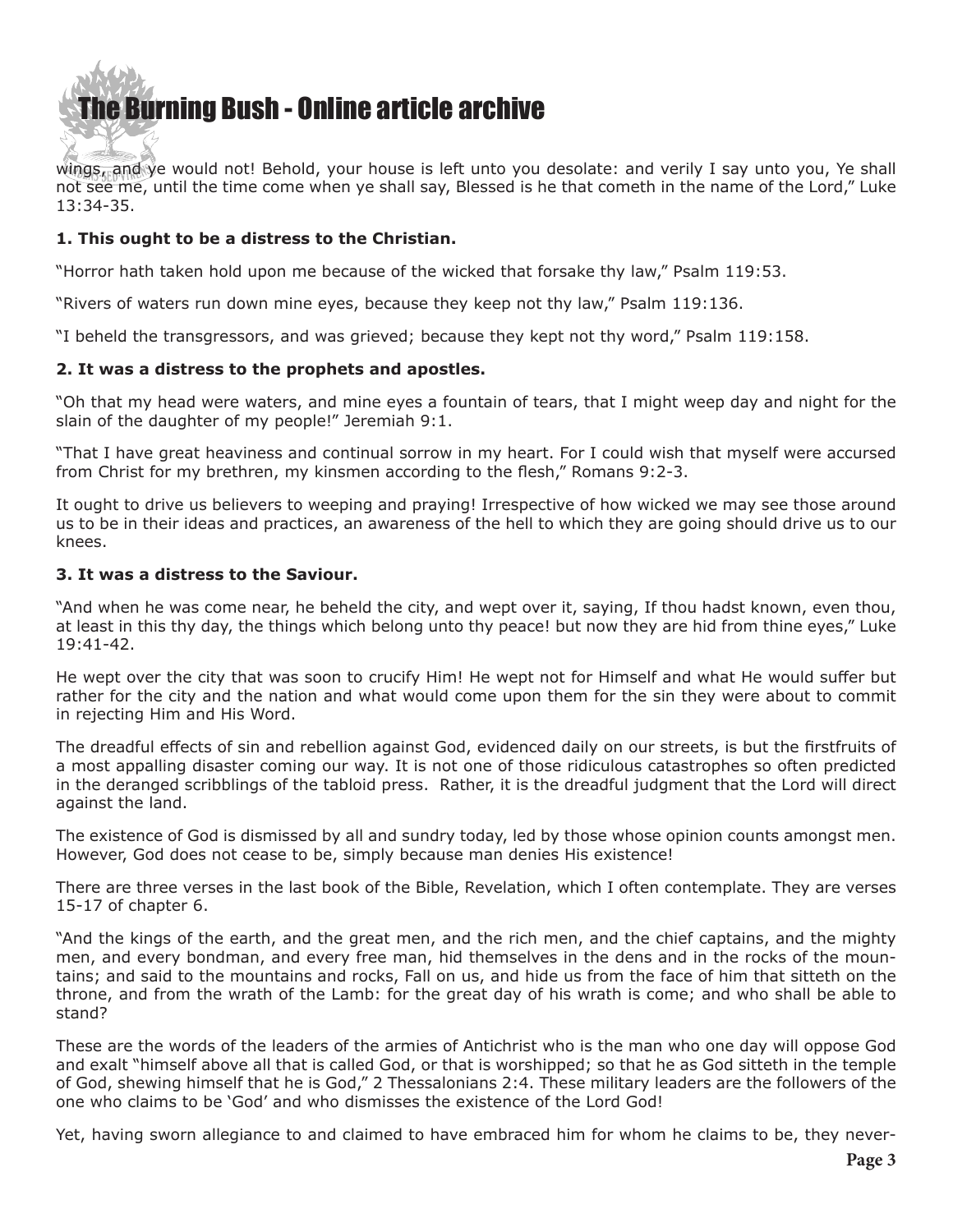# **he Burning Bush - Online article archive**

wings, and ye would not! Behold, your house is left unto you desolate: and verily I say unto you, Ye shall not see me, until the time come when ye shall say, Blessed is he that cometh in the name of the Lord," Luke 13:34-35.

#### **1. This ought to be a distress to the Christian.**

"Horror hath taken hold upon me because of the wicked that forsake thy law," Psalm 119:53.

"Rivers of waters run down mine eyes, because they keep not thy law," Psalm 119:136.

"I beheld the transgressors, and was grieved; because they kept not thy word," Psalm 119:158.

#### **2. It was a distress to the prophets and apostles.**

"Oh that my head were waters, and mine eyes a fountain of tears, that I might weep day and night for the slain of the daughter of my people!" Jeremiah 9:1.

"That I have great heaviness and continual sorrow in my heart. For I could wish that myself were accursed from Christ for my brethren, my kinsmen according to the flesh," Romans 9:2-3.

It ought to drive us believers to weeping and praying! Irrespective of how wicked we may see those around us to be in their ideas and practices, an awareness of the hell to which they are going should drive us to our knees.

#### **3. It was a distress to the Saviour.**

"And when he was come near, he beheld the city, and wept over it, saying, If thou hadst known, even thou, at least in this thy day, the things which belong unto thy peace! but now they are hid from thine eyes," Luke 19:41-42.

He wept over the city that was soon to crucify Him! He wept not for Himself and what He would suffer but rather for the city and the nation and what would come upon them for the sin they were about to commit in rejecting Him and His Word.

The dreadful effects of sin and rebellion against God, evidenced daily on our streets, is but the firstfruits of a most appalling disaster coming our way. It is not one of those ridiculous catastrophes so often predicted in the deranged scribblings of the tabloid press. Rather, it is the dreadful judgment that the Lord will direct against the land.

The existence of God is dismissed by all and sundry today, led by those whose opinion counts amongst men. However, God does not cease to be, simply because man denies His existence!

There are three verses in the last book of the Bible, Revelation, which I often contemplate. They are verses 15-17 of chapter 6.

"And the kings of the earth, and the great men, and the rich men, and the chief captains, and the mighty men, and every bondman, and every free man, hid themselves in the dens and in the rocks of the mountains; and said to the mountains and rocks, Fall on us, and hide us from the face of him that sitteth on the throne, and from the wrath of the Lamb: for the great day of his wrath is come; and who shall be able to stand?

These are the words of the leaders of the armies of Antichrist who is the man who one day will oppose God and exalt "himself above all that is called God, or that is worshipped; so that he as God sitteth in the temple of God, shewing himself that he is God," 2 Thessalonians 2:4. These military leaders are the followers of the one who claims to be 'God' and who dismisses the existence of the Lord God!

Yet, having sworn allegiance to and claimed to have embraced him for whom he claims to be, they never-